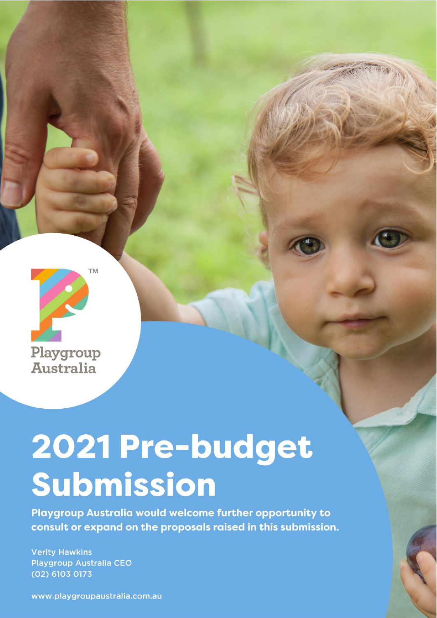

# 2021 Pre-budget Submission

Playgroup Australia would welcome further opportunity to consult or expand on the proposals raised in this submission.

**Verity Hawkins Playgroup Australia CEO** (02) 6103 0173

www.playgroupaustralia.com.au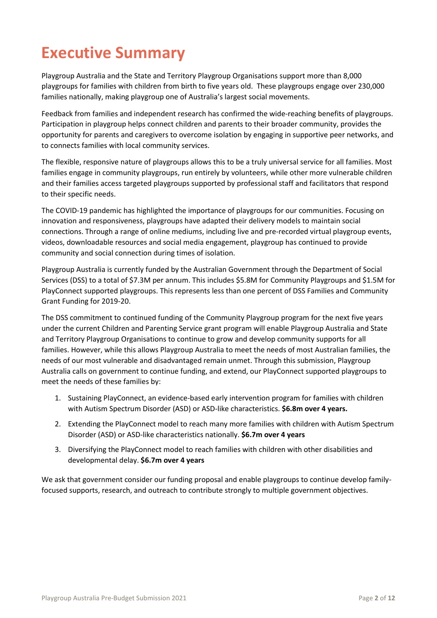## **Executive Summary**

Playgroup Australia and the State and Territory Playgroup Organisations support more than 8,000 playgroups for families with children from birth to five years old. These playgroups engage over 230,000 families nationally, making playgroup one of Australia's largest social movements.

Feedback from families and independent research has confirmed the wide-reaching benefits of playgroups. Participation in playgroup helps connect children and parents to their broader community, provides the opportunity for parents and caregivers to overcome isolation by engaging in supportive peer networks, and to connects families with local community services.

The flexible, responsive nature of playgroups allows this to be a truly universal service for all families. Most families engage in community playgroups, run entirely by volunteers, while other more vulnerable children and their families access targeted playgroups supported by professional staff and facilitators that respond to their specific needs.

The COVID-19 pandemic has highlighted the importance of playgroups for our communities. Focusing on innovation and responsiveness, playgroups have adapted their delivery models to maintain social connections. Through a range of online mediums, including live and pre-recorded virtual playgroup events, videos, downloadable resources and social media engagement, playgroup has continued to provide community and social connection during times of isolation.

Playgroup Australia is currently funded by the Australian Government through the Department of Social Services (DSS) to a total of \$7.3M per annum. This includes \$5.8M for Community Playgroups and \$1.5M for PlayConnect supported playgroups. This represents less than one percent of DSS Families and Community Grant Funding for 2019-20.

The DSS commitment to continued funding of the Community Playgroup program for the next five years under the current Children and Parenting Service grant program will enable Playgroup Australia and State and Territory Playgroup Organisations to continue to grow and develop community supports for all families. However, while this allows Playgroup Australia to meet the needs of most Australian families, the needs of our most vulnerable and disadvantaged remain unmet. Through this submission, Playgroup Australia calls on government to continue funding, and extend, our PlayConnect supported playgroups to meet the needs of these families by:

- 1. Sustaining PlayConnect, an evidence-based early intervention program for families with children with Autism Spectrum Disorder (ASD) or ASD-like characteristics. **\$6.8m over 4 years.**
- 2. Extending the PlayConnect model to reach many more families with children with Autism Spectrum Disorder (ASD) or ASD-like characteristics nationally. **\$6.7m over 4 years**
- 3. Diversifying the PlayConnect model to reach families with children with other disabilities and developmental delay. **\$6.7m over 4 years**

We ask that government consider our funding proposal and enable playgroups to continue develop familyfocused supports, research, and outreach to contribute strongly to multiple government objectives.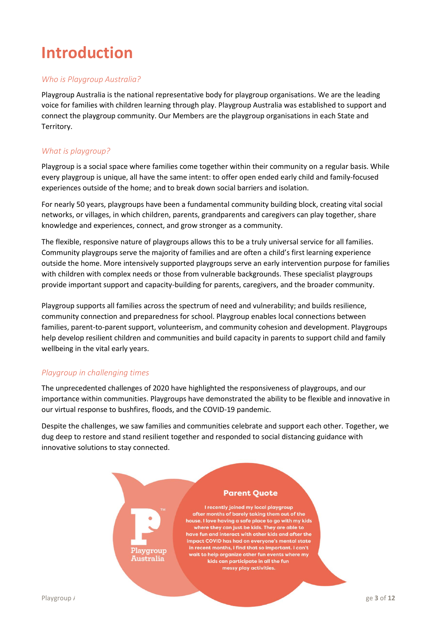# **Introduction**

#### *Who is Playgroup Australia?*

Playgroup Australia is the national representative body for playgroup organisations. We are the leading voice for families with children learning through play. Playgroup Australia was established to support and connect the playgroup community. Our Members are the playgroup organisations in each State and Territory.

#### *What is playgroup?*

Playgroup is a social space where families come together within their community on a regular basis. While every playgroup is unique, all have the same intent: to offer open ended early child and family-focused experiences outside of the home; and to break down social barriers and isolation.

For nearly 50 years, playgroups have been a fundamental community building block, creating vital social networks, or villages, in which children, parents, grandparents and caregivers can play together, share knowledge and experiences, connect, and grow stronger as a community.

The flexible, responsive nature of playgroups allows this to be a truly universal service for all families. Community playgroups serve the majority of families and are often a child's first learning experience outside the home. More intensively supported playgroups serve an early intervention purpose for families with children with complex needs or those from vulnerable backgrounds. These specialist playgroups provide important support and capacity-building for parents, caregivers, and the broader community.

Playgroup supports all families across the spectrum of need and vulnerability; and builds resilience, community connection and preparedness for school. Playgroup enables local connections between families, parent-to-parent support, volunteerism, and community cohesion and development. Playgroups help develop resilient children and communities and build capacity in parents to support child and family wellbeing in the vital early years.

#### *Playgroup in challenging times*

The unprecedented challenges of 2020 have highlighted the responsiveness of playgroups, and our importance within communities. Playgroups have demonstrated the ability to be flexible and innovative in our virtual response to bushfires, floods, and the COVID-19 pandemic.

Despite the challenges, we saw families and communities celebrate and support each other. Together, we dug deep to restore and stand resilient together and responded to social distancing guidance with innovative solutions to stay connected.

Playgroup

**Australia** 

#### **Parent Quote**

I recently joined my local playgroup after months of barely taking them out of the house. I love having a safe place to go with my kids where they can just be kids. They are able to have fun and interact with other kids and after the impact COVID has had on everyone's mental state in recent months, I find that so important. I can't wait to help organize other fun events where my kids can participate in all the fun messy play activities.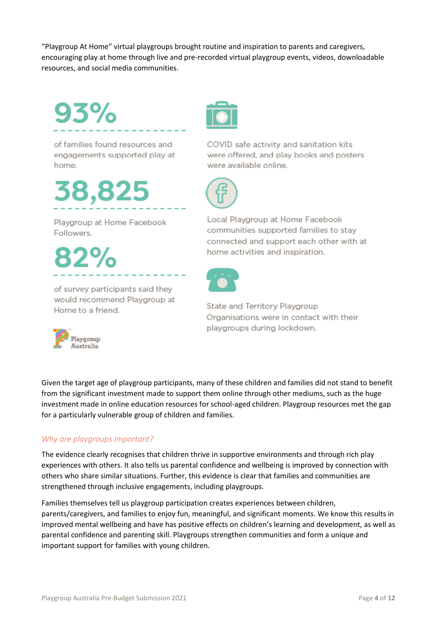"Playgroup At Home" virtual playgroups brought routine and inspiration to parents and caregivers, encouraging play at home through live and pre-recorded virtual playgroup events, videos, downloadable resources, and social media communities.

93%

of families found resources and engagements supported play at home.

38,825

Playgroup at Home Facebook Followers.

of survey participants said they would recommend Playgroup at Home to a friend.



COVID safe activity and sanitation kits were offered, and play books and posters were available online.



Local Playgroup at Home Facebook communities supported families to stay connected and support each other with at home activities and inspiration.



State and Territory Playgroup Organisations were in contact with their playgroups during lockdown.

Given the target age of playgroup participants, many of these children and families did not stand to benefit from the significant investment made to support them online through other mediums, such as the huge investment made in online education resources for school-aged children. Playgroup resources met the gap for a particularly vulnerable group of children and families.

#### *Why are playgroups important?*

The evidence clearly recognises that children thrive in supportive environments and through rich play experiences with others. It also tells us parental confidence and wellbeing is improved by connection with others who share similar situations. Further, this evidence is clear that families and communities are strengthened through inclusive engagements, including playgroups.

Families themselves tell us playgroup participation creates experiences between children, parents/caregivers, and families to enjoy fun, meaningful, and significant moments. We know this results in improved mental wellbeing and have has positive effects on children's learning and development, as well as parental confidence and parenting skill. Playgroups strengthen communities and form a unique and important support for families with young children.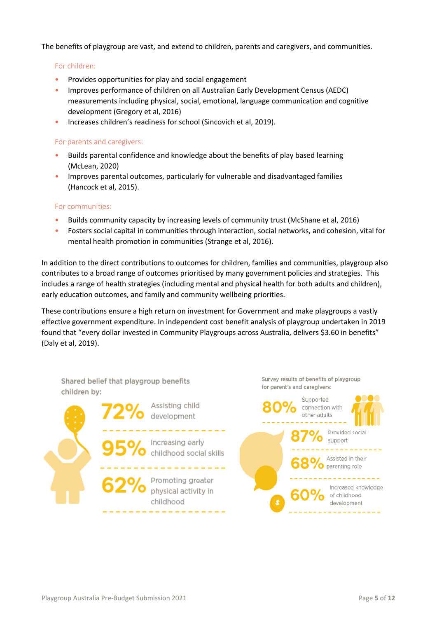The benefits of playgroup are vast, and extend to children, parents and caregivers, and communities.

#### For children:

- Provides opportunities for play and social engagement
- Improves performance of children on all Australian Early Development Census (AEDC) measurements including physical, social, emotional, language communication and cognitive development (Gregory et al, 2016)
- Increases children's readiness for school (Sincovich et al, 2019).

#### For parents and caregivers:

- Builds parental confidence and knowledge about the benefits of play based learning (McLean, 2020)
- Improves parental outcomes, particularly for vulnerable and disadvantaged families (Hancock et al, 2015).

#### For communities:

- Builds community capacity by increasing levels of community trust (McShane et al, 2016)
- Fosters social capital in communities through interaction, social networks, and cohesion, vital for mental health promotion in communities (Strange et al, 2016).

In addition to the direct contributions to outcomes for children, families and communities, playgroup also contributes to a broad range of outcomes prioritised by many government policies and strategies. This includes a range of health strategies (including mental and physical health for both adults and children), early education outcomes, and family and community wellbeing priorities.

These contributions ensure a high return on investment for Government and make playgroups a vastly effective government expenditure. In independent cost benefit analysis of playgroup undertaken in 2019 found that "every dollar invested in Community Playgroups across Australia, delivers \$3.60 in benefits" (Daly et al, 2019).

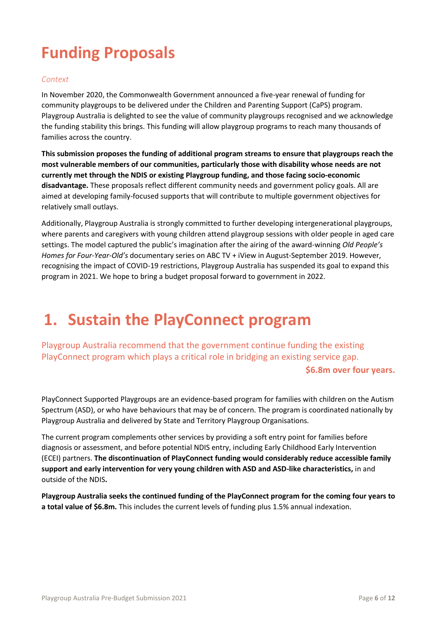# **Funding Proposals**

#### *Context*

In November 2020, the Commonwealth Government announced a five-year renewal of funding for community playgroups to be delivered under the Children and Parenting Support (CaPS) program. Playgroup Australia is delighted to see the value of community playgroups recognised and we acknowledge the funding stability this brings. This funding will allow playgroup programs to reach many thousands of families across the country.

**This submission proposes the funding of additional program streams to ensure that playgroups reach the most vulnerable members of our communities, particularly those with disability whose needs are not currently met through the NDIS or existing Playgroup funding, and those facing socio-economic disadvantage.** These proposals reflect different community needs and government policy goals. All are aimed at developing family-focused supports that will contribute to multiple government objectives for relatively small outlays.

Additionally, Playgroup Australia is strongly committed to further developing intergenerational playgroups, where parents and caregivers with young children attend playgroup sessions with older people in aged care settings. The model captured the public's imagination after the airing of the award-winning *Old People's Homes for Four-Year-Old's* documentary series on ABC TV + iView in August-September 2019. However, recognising the impact of COVID-19 restrictions, Playgroup Australia has suspended its goal to expand this program in 2021. We hope to bring a budget proposal forward to government in 2022.

### **1. Sustain the PlayConnect program**

Playgroup Australia recommend that the government continue funding the existing PlayConnect program which plays a critical role in bridging an existing service gap.

**\$6.8m over four years.**

PlayConnect Supported Playgroups are an evidence-based program for families with children on the Autism Spectrum (ASD), or who have behaviours that may be of concern. The program is coordinated nationally by Playgroup Australia and delivered by State and Territory Playgroup Organisations.

The current program complements other services by providing a soft entry point for families before diagnosis or assessment, and before potential NDIS entry, including Early Childhood Early Intervention (ECEI) partners. **The discontinuation of PlayConnect funding would considerably reduce accessible family support and early intervention for very young children with ASD and ASD-like characteristics,** in and outside of the NDIS**.** 

**Playgroup Australia seeks the continued funding of the PlayConnect program for the coming four years to a total value of \$6.8m.** This includes the current levels of funding plus 1.5% annual indexation.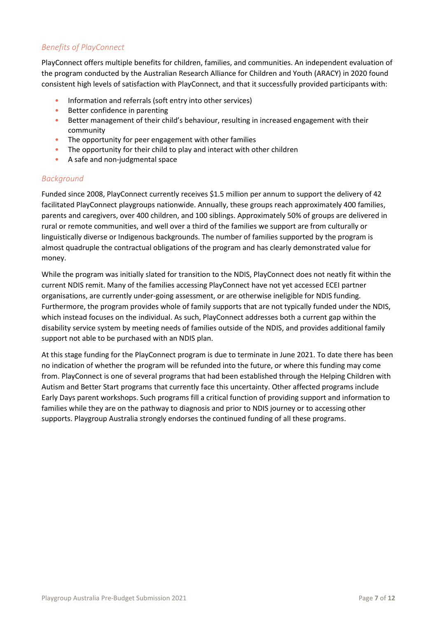#### *Benefits of PlayConnect*

PlayConnect offers multiple benefits for children, families, and communities. An independent evaluation of the program conducted by the Australian Research Alliance for Children and Youth (ARACY) in 2020 found consistent high levels of satisfaction with PlayConnect, and that it successfully provided participants with:

- Information and referrals (soft entry into other services)
- Better confidence in parenting
- Better management of their child's behaviour, resulting in increased engagement with their community
- The opportunity for peer engagement with other families
- The opportunity for their child to play and interact with other children
- A safe and non-judgmental space

#### *Background*

Funded since 2008, PlayConnect currently receives \$1.5 million per annum to support the delivery of 42 facilitated PlayConnect playgroups nationwide. Annually, these groups reach approximately 400 families, parents and caregivers, over 400 children, and 100 siblings. Approximately 50% of groups are delivered in rural or remote communities, and well over a third of the families we support are from culturally or linguistically diverse or Indigenous backgrounds. The number of families supported by the program is almost quadruple the contractual obligations of the program and has clearly demonstrated value for money.

While the program was initially slated for transition to the NDIS, PlayConnect does not neatly fit within the current NDIS remit. Many of the families accessing PlayConnect have not yet accessed ECEI partner organisations, are currently under-going assessment, or are otherwise ineligible for NDIS funding. Furthermore, the program provides whole of family supports that are not typically funded under the NDIS, which instead focuses on the individual. As such, PlayConnect addresses both a current gap within the disability service system by meeting needs of families outside of the NDIS, and provides additional family support not able to be purchased with an NDIS plan.

At this stage funding for the PlayConnect program is due to terminate in June 2021. To date there has been no indication of whether the program will be refunded into the future, or where this funding may come from. PlayConnect is one of several programs that had been established through the Helping Children with Autism and Better Start programs that currently face this uncertainty. Other affected programs include Early Days parent workshops. Such programs fill a critical function of providing support and information to families while they are on the pathway to diagnosis and prior to NDIS journey or to accessing other supports. Playgroup Australia strongly endorses the continued funding of all these programs.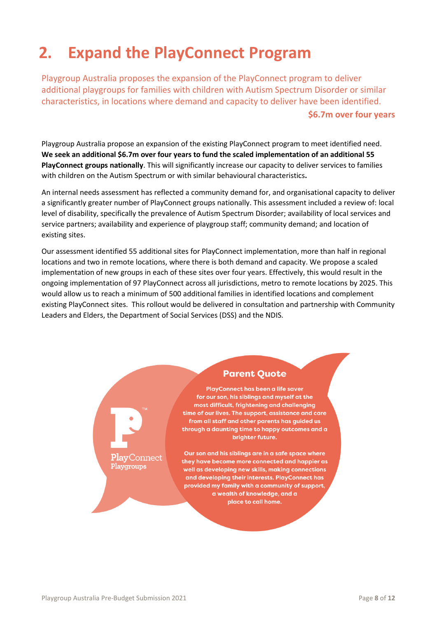# **2. Expand the PlayConnect Program**

Playgroup Australia proposes the expansion of the PlayConnect program to deliver additional playgroups for families with children with Autism Spectrum Disorder or similar characteristics, in locations where demand and capacity to deliver have been identified. **\$6.7m over four years**

Playgroup Australia propose an expansion of the existing PlayConnect program to meet identified need. **We seek an additional \$6.7m over four years to fund the scaled implementation of an additional 55 PlayConnect groups nationally**. This will significantly increase our capacity to deliver services to families with children on the Autism Spectrum or with similar behavioural characteristics**.**

An internal needs assessment has reflected a community demand for, and organisational capacity to deliver a significantly greater number of PlayConnect groups nationally. This assessment included a review of: local level of disability, specifically the prevalence of Autism Spectrum Disorder; availability of local services and service partners; availability and experience of playgroup staff; community demand; and location of existing sites.

Our assessment identified 55 additional sites for PlayConnect implementation, more than half in regional locations and two in remote locations, where there is both demand and capacity. We propose a scaled implementation of new groups in each of these sites over four years. Effectively, this would result in the ongoing implementation of 97 PlayConnect across all jurisdictions, metro to remote locations by 2025. This would allow us to reach a minimum of 500 additional families in identified locations and complement existing PlayConnect sites. This rollout would be delivered in consultation and partnership with Community Leaders and Elders, the Department of Social Services (DSS) and the NDIS.

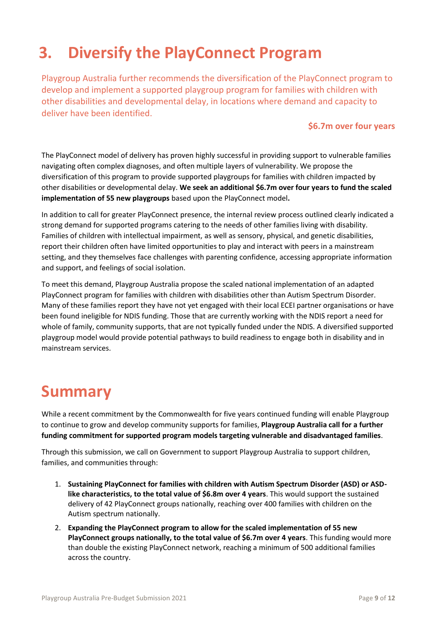# **3. Diversify the PlayConnect Program**

Playgroup Australia further recommends the diversification of the PlayConnect program to develop and implement a supported playgroup program for families with children with other disabilities and developmental delay, in locations where demand and capacity to deliver have been identified.

#### **\$6.7m over four years**

The PlayConnect model of delivery has proven highly successful in providing support to vulnerable families navigating often complex diagnoses, and often multiple layers of vulnerability. We propose the diversification of this program to provide supported playgroups for families with children impacted by other disabilities or developmental delay. **We seek an additional \$6.7m over four years to fund the scaled implementation of 55 new playgroups** based upon the PlayConnect model**.** 

In addition to call for greater PlayConnect presence, the internal review process outlined clearly indicated a strong demand for supported programs catering to the needs of other families living with disability. Families of children with intellectual impairment, as well as sensory, physical, and genetic disabilities, report their children often have limited opportunities to play and interact with peers in a mainstream setting, and they themselves face challenges with parenting confidence, accessing appropriate information and support, and feelings of social isolation.

To meet this demand, Playgroup Australia propose the scaled national implementation of an adapted PlayConnect program for families with children with disabilities other than Autism Spectrum Disorder. Many of these families report they have not yet engaged with their local ECEI partner organisations or have been found ineligible for NDIS funding. Those that are currently working with the NDIS report a need for whole of family, community supports, that are not typically funded under the NDIS. A diversified supported playgroup model would provide potential pathways to build readiness to engage both in disability and in mainstream services.

### **Summary**

While a recent commitment by the Commonwealth for five years continued funding will enable Playgroup to continue to grow and develop community supports for families, **Playgroup Australia call for a further funding commitment for supported program models targeting vulnerable and disadvantaged families**.

Through this submission, we call on Government to support Playgroup Australia to support children, families, and communities through:

- 1. **Sustaining PlayConnect for families with children with Autism Spectrum Disorder (ASD) or ASDlike characteristics, to the total value of \$6.8m over 4 years**. This would support the sustained delivery of 42 PlayConnect groups nationally, reaching over 400 families with children on the Autism spectrum nationally.
- 2. **Expanding the PlayConnect program to allow for the scaled implementation of 55 new PlayConnect groups nationally, to the total value of \$6.7m over 4 years**. This funding would more than double the existing PlayConnect network, reaching a minimum of 500 additional families across the country.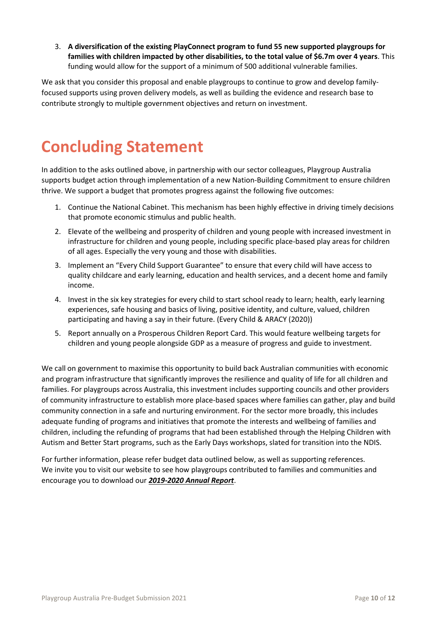3. **A diversification of the existing PlayConnect program to fund 55 new supported playgroups for families with children impacted by other disabilities, to the total value of \$6.7m over 4 years**. This funding would allow for the support of a minimum of 500 additional vulnerable families.

We ask that you consider this proposal and enable playgroups to continue to grow and develop familyfocused supports using proven delivery models, as well as building the evidence and research base to contribute strongly to multiple government objectives and return on investment.

### **Concluding Statement**

In addition to the asks outlined above, in partnership with our sector colleagues, Playgroup Australia supports budget action through implementation of a new Nation-Building Commitment to ensure children thrive. We support a budget that promotes progress against the following five outcomes:

- 1. Continue the National Cabinet. This mechanism has been highly effective in driving timely decisions that promote economic stimulus and public health.
- 2. Elevate of the wellbeing and prosperity of children and young people with increased investment in infrastructure for children and young people, including specific place-based play areas for children of all ages. Especially the very young and those with disabilities.
- 3. Implement an "Every Child Support Guarantee" to ensure that every child will have access to quality childcare and early learning, education and health services, and a decent home and family income.
- 4. Invest in the six key strategies for every child to start school ready to learn; health, early learning experiences, safe housing and basics of living, positive identity, and culture, valued, children participating and having a say in their future. (Every Child & ARACY (2020))
- 5. Report annually on a Prosperous Children Report Card. This would feature wellbeing targets for children and young people alongside GDP as a measure of progress and guide to investment.

We call on government to maximise this opportunity to build back Australian communities with economic and program infrastructure that significantly improves the resilience and quality of life for all children and families. For playgroups across Australia, this investment includes supporting councils and other providers of community infrastructure to establish more place-based spaces where families can gather, play and build community connection in a safe and nurturing environment. For the sector more broadly, this includes adequate funding of programs and initiatives that promote the interests and wellbeing of families and children, including the refunding of programs that had been established through the Helping Children with Autism and Better Start programs, such as the Early Days workshops, slated for transition into the NDIS.

For further information, please refer budget data outlined below, as well as supporting references. We invite you to visit our website to see how playgroups contributed to families and communities and encourage you to download our *[2019-2020 Annual Report](https://playgroupaustralia.org.au/resource/2020-annual-report/)*.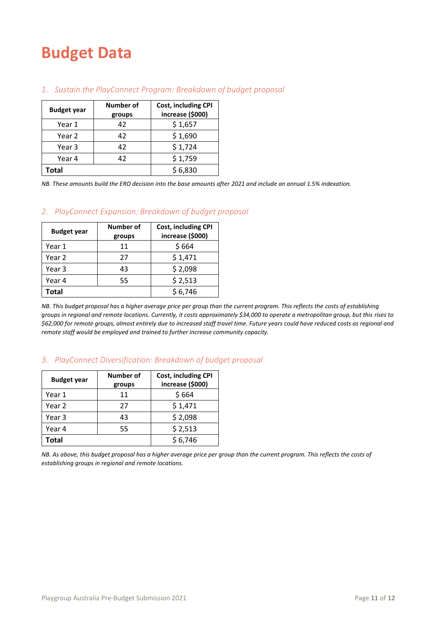### **Budget Data**

| <b>Budget year</b> | Number of<br>groups | Cost, including CPI<br>increase (\$000) |
|--------------------|---------------------|-----------------------------------------|
| Year 1             | 42                  | \$1,657                                 |
| Year 2             | 42                  | \$1,690                                 |
| Year 3             | 42                  | \$1,724                                 |
| Year 4             | 42                  | \$1,759                                 |
| Total              |                     | \$6,830                                 |

#### *1. Sustain the PlayConnect Program: Breakdown of budget proposal*

*NB. These amounts build the ERO decision into the base amounts after 2021 and include an annual 1.5% indexation.*

#### *2. PlayConnect Expansion: Breakdown of budget proposal*

| <b>Budget year</b> | Number of<br>groups | <b>Cost, including CPI</b><br>increase (\$000) |
|--------------------|---------------------|------------------------------------------------|
| Year 1             | 11                  | \$664                                          |
| Year 2             | 27                  | \$1,471                                        |
| Year 3             | 43                  | \$2,098                                        |
| Year 4             | 55                  | \$2,513                                        |
| Total              |                     | \$6,746                                        |

*NB. This budget proposal has a higher average price per group than the current program. This reflects the costs of establishing groups in regional and remote locations. Currently, it costs approximately \$34,000 to operate a metropolitan group, but this rises to \$62,000 for remote groups, almost entirely due to increased staff travel time. Future years could have reduced costs as regional and remote staff would be employed and trained to further increase community capacity.*

#### *3. PlayConnect Diversification: Breakdown of budget proposal*

| <b>Budget year</b> | Number of<br>groups | <b>Cost, including CPI</b><br>increase (\$000) |
|--------------------|---------------------|------------------------------------------------|
| Year 1             | 11                  | \$664                                          |
| Year 2             | 27                  | \$1,471                                        |
| Year 3             | 43                  | \$2,098                                        |
| Year 4             | 55                  | \$2,513                                        |
| <b>Total</b>       |                     | \$6,746                                        |

*NB. As above, this budget proposal has a higher average price per group than the current program. This reflects the costs of establishing groups in regional and remote locations.*